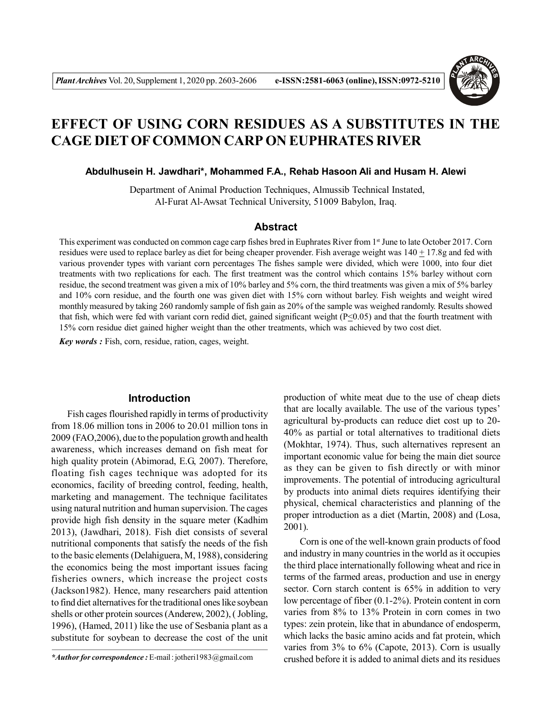

# **EFFECT OF USING CORN RESIDUES AS A SUBSTITUTES IN THE CAGE DIET OF COMMON CARP ON EUPHRATES RIVER**

## **Abdulhusein H. Jawdhari\*, Mohammed F.A., Rehab Hasoon Ali and Husam H. Alewi**

 Department of Animal Production Techniques, Almussib Technical Instated, Al-Furat Al-Awsat Technical University, 51009 Babylon, Iraq.

### **Abstract**

This experiment was conducted on common cage carp fishes bred in Euphrates River from 1st June to late October 2017. Corn residues were used to replace barley as diet for being cheaper provender. Fish average weight was  $140 \pm 17.8$ g and fed with various provender types with variant corn percentages The fishes sample were divided, which were 1000, into four diet treatments with two replications for each. The first treatment was the control which contains 15% barley without corn residue, the second treatment was given a mix of 10% barley and 5% corn, the third treatments was given a mix of 5% barley and 10% corn residue, and the fourth one was given diet with 15% corn without barley. Fish weights and weight wired monthly measured by taking 260 randomly sample of fish gain as 20% of the sample was weighed randomly. Results showed that fish, which were fed with variant corn redid diet, gained significant weight ( $P \le 0.05$ ) and that the fourth treatment with 15% corn residue diet gained higher weight than the other treatments, which was achieved by two cost diet.

*Key words :* Fish, corn, residue, ration, cages, weight.

## **Introduction**

Fish cages flourished rapidly in terms of productivity from 18.06 million tons in 2006 to 20.01 million tons in 2009 (FAO,2006), due to the population growth and health awareness, which increases demand on fish meat for high quality protein (Abimorad, E.G, 2007). Therefore, floating fish cages technique was adopted for its economics, facility of breeding control, feeding, health, marketing and management. The technique facilitates using natural nutrition and human supervision. The cages provide high fish density in the square meter (Kadhim 2013), (Jawdhari, 2018). Fish diet consists of several nutritional components that satisfy the needs of the fish to the basic elements (Delahiguera, M, 1988), considering the economics being the most important issues facing fisheries owners, which increase the project costs (Jackson1982). Hence, many researchers paid attention to find diet alternatives for the traditional ones like soybean shells or other protein sources (Anderew, 2002), ( Jobling, 1996), (Hamed, 2011) like the use of Sesbania plant as a substitute for soybean to decrease the cost of the unit

production of white meat due to the use of cheap diets that are locally available. The use of the various types' agricultural by-products can reduce diet cost up to 20- 40% as partial or total alternatives to traditional diets (Mokhtar, 1974). Thus, such alternatives represent an important economic value for being the main diet source as they can be given to fish directly or with minor improvements. The potential of introducing agricultural by products into animal diets requires identifying their physical, chemical characteristics and planning of the proper introduction as a diet (Martin, 2008) and (Losa, 2001).

Corn is one of the well-known grain products of food and industry in many countries in the world as it occupies the third place internationally following wheat and rice in terms of the farmed areas, production and use in energy sector. Corn starch content is 65% in addition to very low percentage of fiber (0.1-2%). Protein content in corn varies from 8% to 13% Protein in corn comes in two types: zein protein, like that in abundance of endosperm, which lacks the basic amino acids and fat protein, which varies from 3% to 6% (Capote, 2013). Corn is usually crushed before it is added to animal diets and its residues

*<sup>\*</sup>Author for correspondence :* E-mail : jotheri1983@gmail.com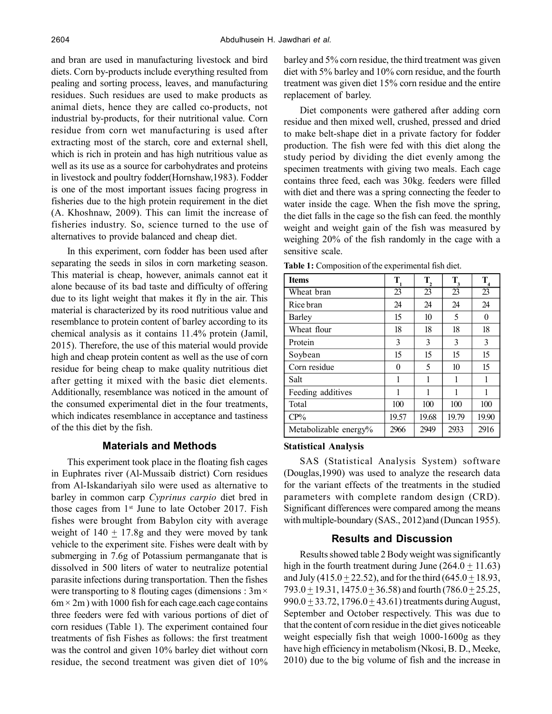and bran are used in manufacturing livestock and bird diets. Corn by-products include everything resulted from pealing and sorting process, leaves, and manufacturing residues. Such residues are used to make products as animal diets, hence they are called co-products, not industrial by-products, for their nutritional value. Corn residue from corn wet manufacturing is used after extracting most of the starch, core and external shell, which is rich in protein and has high nutritious value as well as its use as a source for carbohydrates and proteins in livestock and poultry fodder(Hornshaw,1983). Fodder is one of the most important issues facing progress in fisheries due to the high protein requirement in the diet (A. Khoshnaw, 2009). This can limit the increase of fisheries industry. So, science turned to the use of alternatives to provide balanced and cheap diet.

In this experiment, corn fodder has been used after separating the seeds in silos in corn marketing season. This material is cheap, however, animals cannot eat it alone because of its bad taste and difficulty of offering due to its light weight that makes it fly in the air. This material is characterized by its rood nutritious value and resemblance to protein content of barley according to its chemical analysis as it contains 11.4% protein (Jamil, 2015). Therefore, the use of this material would provide high and cheap protein content as well as the use of corn residue for being cheap to make quality nutritious diet after getting it mixed with the basic diet elements. Additionally, resemblance was noticed in the amount of the consumed experimental diet in the four treatments, which indicates resemblance in acceptance and tastiness of the this diet by the fish.

# **Materials and Methods**

This experiment took place in the floating fish cages in Euphrates river (Al-Mussaib district) Corn residues from Al-Iskandariyah silo were used as alternative to barley in common carp *Cyprinus carpio* diet bred in those cages from  $1<sup>st</sup>$  June to late October 2017. Fish fishes were brought from Babylon city with average weight of  $140 \pm 17.8$ g and they were moved by tank vehicle to the experiment site. Fishes were dealt with by submerging in 7.6g of Potassium permanganate that is dissolved in 500 liters of water to neutralize potential parasite infections during transportation. Then the fishes were transporting to 8 flouting cages (dimensions :  $3m \times$  $6m \times 2m$ ) with 1000 fish for each cage cach cage contains three feeders were fed with various portions of diet of corn residues (Table 1). The experiment contained four treatments of fish Fishes as follows: the first treatment was the control and given 10% barley diet without corn residue, the second treatment was given diet of 10%

barley and 5% corn residue, the third treatment was given diet with 5% barley and 10% corn residue, and the fourth treatment was given diet 15% corn residue and the entire replacement of barley.

Diet components were gathered after adding corn residue and then mixed well, crushed, pressed and dried to make belt-shape diet in a private factory for fodder production. The fish were fed with this diet along the study period by dividing the diet evenly among the specimen treatments with giving two meals. Each cage contains three feed, each was 30kg. feeders were filled with diet and there was a spring connecting the feeder to water inside the cage. When the fish move the spring, the diet falls in the cage so the fish can feed. the monthly weight and weight gain of the fish was measured by weighing 20% of the fish randomly in the cage with a sensitive scale.

| <b>Table 1:</b> Composition of the experimental fish diet. |  |  |  |  |  |  |
|------------------------------------------------------------|--|--|--|--|--|--|
| l Items                                                    |  |  |  |  |  |  |

| <b>Items</b>          | $\mathbf{T}_{1}$ | $\mathbf{T}_{2}$ | $T_{3}$ | $T_{4}$ |
|-----------------------|------------------|------------------|---------|---------|
| Wheat bran            | 23               | 23               | 23      | 23      |
| Rice bran             | 24               | 24               | 24      | 24      |
| Barley                | 15               | 10 <sup>10</sup> | 5       | 0       |
| Wheat flour           | 18               | 18               | 18      | 18      |
| Protein               | 3                | 3                | 3       | 3       |
| Soybean               | 15               | 15               | 15      | 15      |
| Corn residue          | 0                | 5                | 10      | 15      |
| Salt                  | 1                | 1                | 1       | 1       |
| Feeding additives     | 1                | 1                | 1       | 1       |
| Total                 | 100              | 100              | 100     | 100     |
| $CP\%$                | 19.57            | 19.68            | 19.79   | 19.90   |
| Metabolizable energy% | 2966             | 2949             | 2933    | 2916    |

## **Statistical Analysis**

SAS (Statistical Analysis System) software (Douglas,1990) was used to analyze the research data for the variant effects of the treatments in the studied parameters with complete random design (CRD). Significant differences were compared among the means with multiple-boundary (SAS., 2012)and (Duncan 1955).

### **Results and Discussion**

Results showed table 2 Body weight was significantly high in the fourth treatment during June  $(264.0 + 11.63)$ and July (415.0  $\pm$  22.52), and for the third (645.0  $\pm$  18.93, 793.0  $\pm$  19.31, 1475.0  $\pm$  36.58) and fourth (786.0  $\pm$  25.25, 990.0  $\pm$  33.72, 1796.0  $\pm$  43.61) treatments during August, September and October respectively. This was due to that the content of corn residue in the diet gives noticeable weight especially fish that weigh 1000-1600g as they have high efficiency in metabolism (Nkosi, B. D., Meeke, 2010) due to the big volume of fish and the increase in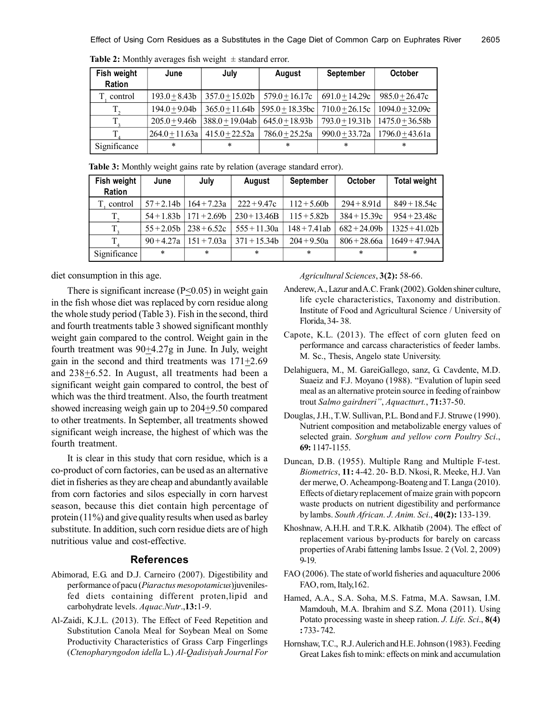| Fish weight<br><b>Ration</b> | June             | July               | August                             | <b>September</b> | <b>October</b>                       |
|------------------------------|------------------|--------------------|------------------------------------|------------------|--------------------------------------|
| control                      | $193.0 + 8.43b$  | $357.0 \pm 15.02b$ | $579.0 + 16.17c$                   | $691.0 + 14.29c$ | $985.0 + 26.47c$                     |
|                              | $194.0 + 9.04b$  |                    | $365.0 + 11.64b$   595.0 + 18.35bc | $710.0 + 26.15c$ | $1094.0 + 32.09c$                    |
|                              | $205.0 + 9.46b$  | 388.0+19.04ab      | $645.0 + 18.93b$                   |                  | $793.0 + 19.31b$   $1475.0 + 36.58b$ |
|                              | $264.0 + 11.63a$ | $415.0 + 22.52a$   | $786.0 + 25.25a$                   |                  | $990.0 + 33.72a$   1796.0 + 43.61a   |
| Significance                 | $\star$          | $\ast$             | $\ast$                             | $\ast$           | $\ast$                               |

**Table 2:** Monthly averages fish weight  $\pm$  standard error.

**Table 3:** Monthly weight gains rate by relation (average standard error).

| Fish weight   | June         | July          | August         | <b>September</b> | <b>October</b> | <b>Total weight</b> |
|---------------|--------------|---------------|----------------|------------------|----------------|---------------------|
| <b>Ration</b> |              |               |                |                  |                |                     |
| control       | $57 + 2.14b$ | $164 + 7.23a$ | $222 + 9.47c$  | $112 + 5.60b$    | $294 + 8.91d$  | $849 + 18.54c$      |
| $T_{\gamma}$  | $54 + 1.83b$ | $171 + 2.69b$ | $230+13.46B$   | $115 + 5.82b$    | $384 + 15.39c$ | $954 + 23.48c$      |
| T,            | $55 + 2.05b$ | $238 + 6.52c$ | $555 + 11.30a$ | $148 + 7.41ab$   | $682 + 24.09b$ | $1325 + 41.02b$     |
|               | $90 + 4.27a$ | $151 + 7.03a$ | $371 + 15.34b$ | $204 + 9.50a$    | $806 + 28.66a$ | $1649 + 47.94A$     |
| Significance  | $\ast$       | $\star$       | $\ast$         | $\ast$           | $\ast$         | $\ast$              |

diet consumption in this age.

There is significant increase ( $P \le 0.05$ ) in weight gain in the fish whose diet was replaced by corn residue along the whole study period (Table 3). Fish in the second, third and fourth treatments table 3 showed significant monthly weight gain compared to the control. Weight gain in the fourth treatment was  $90+4.27g$  in June. In July, weight gain in the second and third treatments was  $171+2.69$ and 238+6.52. In August, all treatments had been a significant weight gain compared to control, the best of which was the third treatment. Also, the fourth treatment showed increasing weigh gain up to 204+9.50 compared to other treatments. In September, all treatments showed significant weigh increase, the highest of which was the fourth treatment.

It is clear in this study that corn residue, which is a co-product of corn factories, can be used as an alternative diet in fisheries as they are cheap and abundantly available from corn factories and silos especially in corn harvest season, because this diet contain high percentage of protein (11%) and give quality results when used as barley substitute. In addition, such corn residue diets are of high nutritious value and cost-effective.

## **References**

- Abimorad, E.G. and D.J. Carneiro (2007). Digestibility and performance of pacu (*Piaractus mesopotamicus*)juvenilesfed diets containing different proten,lipid and carbohydrate levels. *Aquac.Nutr*.,**13:**1-9.
- Al-Zaidi, K.J.L. (2013). The Effect of Feed Repetition and Substitution Canola Meal for Soybean Meal on Some Productivity Characteristics of Grass Carp Fingerlings (*Ctenopharyngodon idella* L.) *Al-Qadisiyah Journal For*

*Agricultural Sciences*, **3(2):** 58-66.

- Anderew, A., Lazur and A.C. Frank (2002). Golden shiner culture, life cycle characteristics, Taxonomy and distribution. Institute of Food and Agricultural Science / University of Florida, 34- 38.
- Capote, K.L. (2013). The effect of corn gluten feed on performance and carcass characteristics of feeder lambs. M. Sc., Thesis, Angelo state University.
- Delahiguera, M., M. GareiGallego, sanz, G. Cavdente, M.D. Suaeiz and F.J. Moyano (1988). "Evalution of lupin seed meal as an alternative protein source in feeding of rainbow trout *Salmo gairdneri"*, *Aquactturt.*, **71:**37-50.
- Douglas, J.H., T.W. Sullivan, P.L. Bond and F.J. Struwe (1990). Nutrient composition and metabolizable energy values of selected grain. *Sorghum and yellow corn Poultry Sci*., **69:** 1147-1155.
- Duncan, D.B. (1955). Multiple Rang and Multiple F-test. *Biometrics*, **11:** 4-42. 20- B.D. Nkosi, R. Meeke, H.J. Van der merwe, O. Acheampong-Boateng and T. Langa (2010). Effects of dietary replacement of maize grain with popcorn waste products on nutrient digestibility and performance by lambs. *South African. J. Anim. Sci*., **40(2):** 133-139.
- Khoshnaw, A.H.H. and T.R.K. Alkhatib (2004). The effect of replacement various by-products for barely on carcass properties of Arabi fattening lambs Issue. 2 (Vol. 2, 2009) 9-19.
- FAO (2006). The state of world fisheries and aquaculture 2006 FAO, rom, Italy,162.
- Hamed, A.A., S.A. Soha, M.S. Fatma, M.A. Sawsan, I.M. Mamdouh, M.A. Ibrahim and S.Z. Mona (2011). Using Potato processing waste in sheep ration. *J. Life. Sci*., **8(4) :** 733- 742.
- Hornshaw, T.C., R.J. Aulerich and H.E. Johnson (1983). Feeding Great Lakes fish to mink: effects on mink and accumulation